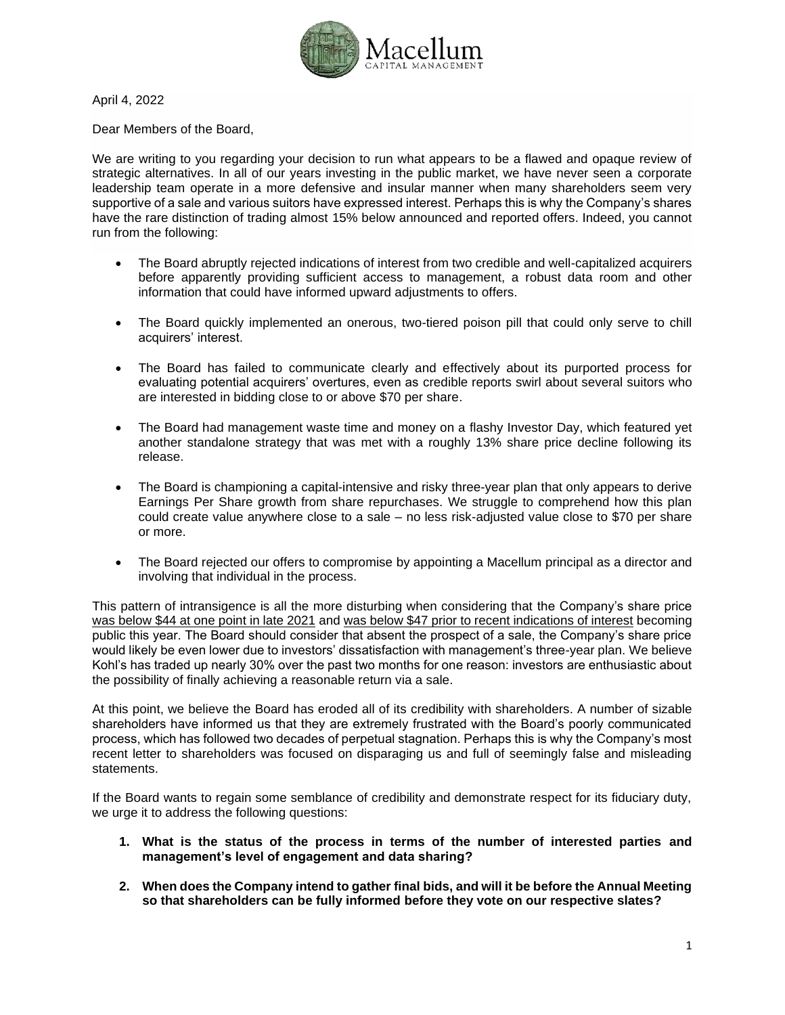

April 4, 2022

Dear Members of the Board,

We are writing to you regarding your decision to run what appears to be a flawed and opaque review of strategic alternatives. In all of our years investing in the public market, we have never seen a corporate leadership team operate in a more defensive and insular manner when many shareholders seem very supportive of a sale and various suitors have expressed interest. Perhaps this is why the Company's shares have the rare distinction of trading almost 15% below announced and reported offers. Indeed, you cannot run from the following:

- The Board abruptly rejected indications of interest from two credible and well-capitalized acquirers before apparently providing sufficient access to management, a robust data room and other information that could have informed upward adjustments to offers.
- The Board quickly implemented an onerous, two-tiered poison pill that could only serve to chill acquirers' interest.
- The Board has failed to communicate clearly and effectively about its purported process for evaluating potential acquirers' overtures, even as credible reports swirl about several suitors who are interested in bidding close to or above \$70 per share.
- The Board had management waste time and money on a flashy Investor Day, which featured yet another standalone strategy that was met with a roughly 13% share price decline following its release.
- The Board is championing a capital-intensive and risky three-year plan that only appears to derive Earnings Per Share growth from share repurchases. We struggle to comprehend how this plan could create value anywhere close to a sale – no less risk-adjusted value close to \$70 per share or more.
- The Board rejected our offers to compromise by appointing a Macellum principal as a director and involving that individual in the process.

This pattern of intransigence is all the more disturbing when considering that the Company's share price was below \$44 at one point in late 2021 and was below \$47 prior to recent indications of interest becoming public this year. The Board should consider that absent the prospect of a sale, the Company's share price would likely be even lower due to investors' dissatisfaction with management's three-year plan. We believe Kohl's has traded up nearly 30% over the past two months for one reason: investors are enthusiastic about the possibility of finally achieving a reasonable return via a sale.

At this point, we believe the Board has eroded all of its credibility with shareholders. A number of sizable shareholders have informed us that they are extremely frustrated with the Board's poorly communicated process, which has followed two decades of perpetual stagnation. Perhaps this is why the Company's most recent letter to shareholders was focused on disparaging us and full of seemingly false and misleading statements.

If the Board wants to regain some semblance of credibility and demonstrate respect for its fiduciary duty, we urge it to address the following questions:

- **1. What is the status of the process in terms of the number of interested parties and management's level of engagement and data sharing?**
- **2. When does the Company intend to gather final bids, and will it be before the Annual Meeting so that shareholders can be fully informed before they vote on our respective slates?**